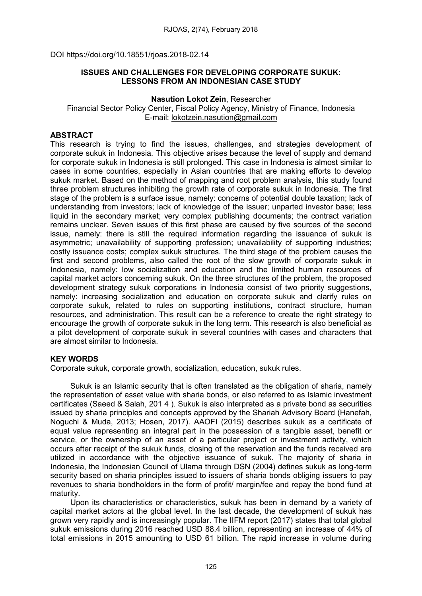DOI https://doi.org/10.18551/rjoas.2018-02.14

## ISSUES AND CHALLENGES FOR DEVELOPING CORPORATE SUKUK: LESSONS FROM AN INDONESIAN CASE STUDY

#### Nasution Lokot Zein, Researcher

Financial Sector Policy Center, Fiscal Policy Agency, Ministry of Finance, Indonesia E-mail: [lokotzein.nasution@gmail.com](mailto:lokotzein.nasution@gmail.com)

### ABSTRACT

This research is trying to find the issues, challenges, and strategies development of corporate sukuk in Indonesia. This objective arises because the level of supply and demand for corporate sukuk in Indonesia is still prolonged. This case in Indonesia is almost similar to cases in some countries, especially in Asian countries that are making efforts to develop sukuk market. Based on the method of mapping and root problem analysis, this study found three problem structures inhibiting the growth rate of corporate sukuk in Indonesia. The first stage of the problem is a surface issue, namely: concerns of potential double taxation; lack of understanding from investors; lack of knowledge of the issuer; unparted investor base; less liquid in the secondary market; very complex publishing documents; the contract variation remains unclear. Seven issues of this first phase are caused by five sources of the second issue, namely: there is still the required information regarding the issuance of sukuk is asymmetric; unavailability of supporting profession; unavailability of supporting industries; costly issuance costs; complex sukuk structures. The third stage of the problem causes the first and second problems, also called the root of the slow growth of corporate sukuk in Indonesia, namely: low socialization and education and the limited human resources of capital market actors concerning sukuk. On the three structures of the problem, the proposed development strategy sukuk corporations in Indonesia consist of two priority suggestions, namely: increasing socialization and education on corporate sukuk and clarify rules on corporate sukuk, related to rules on supporting institutions, contract structure, human resources, and administration. This result can be a reference to create the right strategy to encourage the growth of corporate sukuk in the long term. This research is also beneficial as a pilot development of corporate sukuk in several countries with cases and characters that are almost similar to Indonesia.

## KEY WORDS

Corporate sukuk, corporate growth, socialization, education, sukuk rules.

Sukuk is an Islamic security that is often translated as the obligation of sharia, namely the representation of asset value with sharia bonds, or also referred to as Islamic investment certificates (Saeed & Salah, 201 4 ). Sukuk is also interpreted as a private bond as securities issued by sharia principles and concepts approved by the Shariah Advisory Board (Hanefah, Noguchi & Muda, 2013; Hosen, 2017). AAOFI (2015) describes sukuk as a certificate of equal value representing an integral part in the possession of a tangible asset, benefit or service, or the ownership of an asset of a particular project or investment activity, which occurs after receipt of the sukuk funds, closing of the reservation and the funds received are utilized in accordance with the objective issuance of sukuk. The majority of sharia in Indonesia, the Indonesian Council of Ulama through DSN (2004) defines sukuk as long-term security based on sharia principles issued to issuers of sharia bonds obliging issuers to pay revenues to sharia bondholders in the form of profit/ margin/fee and repay the bond fund at maturity.

Upon its characteristics or characteristics, sukuk has been in demand by a variety of capital market actors at the global level. In the last decade, the development of sukuk has grown very rapidly and is increasingly popular. The IIFM report (2017) states that total global sukuk emissions during 2016 reached USD 88.4 billion, representing an increase of 44% of total emissions in 2015 amounting to USD 61 billion. The rapid increase in volume during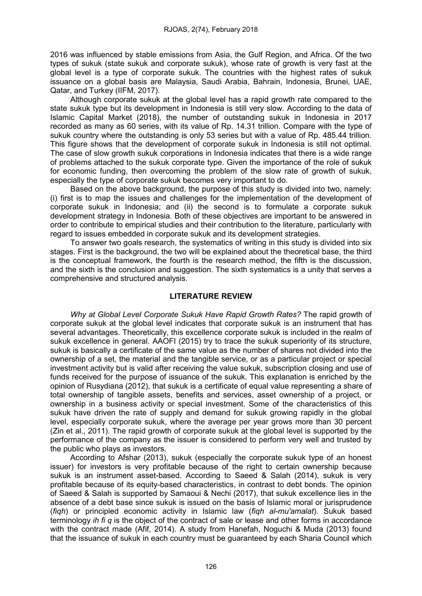2016 was influenced by stable emissions from Asia, the Gulf Region, and Africa. Of the two types of sukuk (state sukuk and corporate sukuk), whose rate of growth is very fast at the global level is a type of corporate sukuk. The countries with the highest rates of sukuk issuance on a global basis are Malaysia, Saudi Arabia, Bahrain, Indonesia, Brunei, UAE, Qatar, and Turkey (IIFM, 2017).

Although corporate sukuk at the global level has a rapid growth rate compared to the state sukuk type but its development in Indonesia is still very slow. According to the data of Islamic Capital Market (2018), the number of outstanding sukuk in Indonesia in 2017 recorded as many as 60 series, with its value of Rp. 14.31 trillion. Compare with the type of sukuk country where the outstanding is only 53 series but with a value of Rp. 485.44 trillion. This figure shows that the development of corporate sukuk in Indonesia is still not optimal. The case of slow growth sukuk corporations in Indonesia indicates that there is a wide range of problems attached to the sukuk corporate type. Given the importance of the role of sukuk for economic funding, then overcoming the problem of the slow rate of growth of sukuk, especially the type of corporate sukuk becomes very important to do.

Based on the above background, the purpose of this study is divided into two, namely: (i) first is to map the issues and challenges for the implementation of the development of corporate sukuk in Indonesia; and (ii) the second is to formulate a corporate sukuk development strategy in Indonesia. Both of these objectives are important to be answered in order to contribute to empirical studies and their contribution to the literature, particularly with regard to issues embedded in corporate sukuk and its development strategies.

To answer two goals research, the systematics of writing in this study is divided into six stages. First is the background, the two will be explained about the theoretical base, the third is the conceptual framework, the fourth is the research method, the fifth is the discussion, and the sixth is the conclusion and suggestion. The sixth systematics is a unity that serves a comprehensive and structured analysis.

#### LITERATURE REVIEW

Why at Global Level Corporate Sukuk Have Rapid Growth Rates? The rapid growth of corporate sukuk at the global level indicates that corporate sukuk is an instrument that has several advantages. Theoretically, this excellence corporate sukuk is included in the realm of sukuk excellence in general. AAOFI (2015) try to trace the sukuk superiority of its structure, sukuk is basically a certificate of the same value as the number of shares not divided into the ownership of a set, the material and the tangible service, or as a particular project or special investment activity but is valid after receiving the value sukuk, subscription closing and use of funds received for the purpose of issuance of the sukuk. This explanation is enriched by the opinion of Rusydiana (2012), that sukuk is a certificate of equal value representing a share of total ownership of tangible assets, benefits and services, asset ownership of a project, or ownership in a business activity or special investment. Some of the characteristics of this sukuk have driven the rate of supply and demand for sukuk growing rapidly in the global level, especially corporate sukuk, where the average per year grows more than 30 percent (Zin et al., 2011). The rapid growth of corporate sukuk at the global level is supported by the performance of the company as the issuer is considered to perform very well and trusted by the public who plays as investors.

According to Afshar (2013), sukuk (especially the corporate sukuk type of an honest issuer) for investors is very profitable because of the right to certain ownership because sukuk is an instrument asset-based. According to Saeed & Salah (2014), sukuk is very profitable because of its equity-based characteristics, in contrast to debt bonds. The opinion of Saeed & Salah is supported by Samaoui & Nechi (2017), that sukuk excellence lies in the absence of a debt base since sukuk is issued on the basis of Islamic moral or jurisprudence (fiqh) or principled economic activity in Islamic law (fiqh al-mu'amalat). Sukuk based terminology *ih fi q* is the object of the contract of sale or lease and other forms in accordance with the contract made (Afif, 2014). A study from Hanefah, Noguchi & Muda (2013) found that the issuance of sukuk in each country must be guaranteed by each Sharia Council which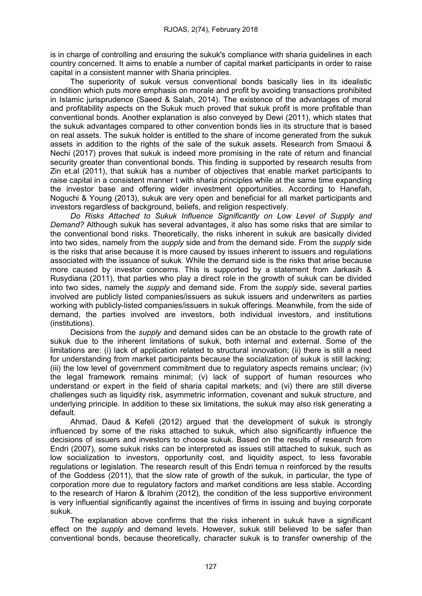is in charge of controlling and ensuring the sukuk's compliance with sharia guidelines in each country concerned. It aims to enable a number of capital market participants in order to raise capital in a consistent manner with Sharia principles.

The superiority of sukuk versus conventional bonds basically lies in its idealistic condition which puts more emphasis on morale and profit by avoiding transactions prohibited in Islamic jurisprudence (Saeed & Salah, 2014). The existence of the advantages of moral and profitability aspects on the Sukuk much proved that sukuk profit is more profitable than conventional bonds. Another explanation is also conveyed by Dewi (2011), which states that the sukuk advantages compared to other convention bonds lies in its structure that is based on real assets. The sukuk holder is entitled to the share of income generated from the sukuk assets in addition to the rights of the sale of the sukuk assets. Research from Smaoui & Nechi (2017) proves that sukuk is indeed more promising in the rate of return and financial security greater than conventional bonds. This finding is supported by research results from Zin et.al (2011), that sukuk has a number of objectives that enable market participants to raise capital in a consistent manner t with sharia principles while at the same time expanding the investor base and offering wider investment opportunities. According to Hanefah, Noguchi & Young (2013), sukuk are very open and beneficial for all market participants and investors regardless of background, beliefs, and religion respectively.

Do Risks Attached to Sukuk Influence Significantly on Low Level of Supply and Demand? Although sukuk has several advantages, it also has some risks that are similar to the conventional bond risks. Theoretically, the risks inherent in sukuk are basically divided into two sides, namely from the *supply* side and from the demand side. From the *supply* side is the risks that arise because it is more caused by issues inherent to issuers and regulations associated with the issuance of sukuk. While the demand side is the risks that arise because more caused by investor concerns. This is supported by a statement from Jarkasih & Rusydiana (2011), that parties who play a direct role in the growth of sukuk can be divided into two sides, namely the *supply* and demand side. From the *supply* side, several parties involved are publicly listed companies/issuers as sukuk issuers and underwriters as parties working with publicly-listed companies/issuers in sukuk offerings. Meanwhile, from the side of demand, the parties involved are investors, both individual investors, and institutions (institutions).

Decisions from the *supply* and demand sides can be an obstacle to the growth rate of sukuk due to the inherent limitations of sukuk, both internal and external. Some of the limitations are: (i) lack of application related to structural innovation; (ii) there is still a need for understanding from market participants because the socialization of sukuk is still lacking; (iii) the low level of government commitment due to regulatory aspects remains unclear; (iv) the legal framework remains minimal; (v) lack of support of human resources who understand or expert in the field of sharia capital markets; and (vi) there are still diverse challenges such as liquidity risk, asymmetric information, covenant and sukuk structure, and underlying principle. In addition to these six limitations, the sukuk may also risk generating a default.

Ahmad, Daud & Kefeli (2012) argued that the development of sukuk is strongly influenced by some of the risks attached to sukuk, which also significantly influence the decisions of issuers and investors to choose sukuk. Based on the results of research from Endri (2007), some sukuk risks can be interpreted as issues still attached to sukuk, such as low socialization to investors, opportunity cost, and liquidity aspect, to less favorable regulations or legislation. The research result of this Endri temua n reinforced by the results of the Goddess (2011), that the slow rate of growth of the sukuk, in particular, the type of corporation more due to regulatory factors and market conditions are less stable. According to the research of Haron & Ibrahim (2012), the condition of the less supportive environment is very influential significantly against the incentives of firms in issuing and buying corporate sukuk.

The explanation above confirms that the risks inherent in sukuk have a significant effect on the *supply* and demand levels. However, sukuk still believed to be safer than conventional bonds, because theoretically, character sukuk is to transfer ownership of the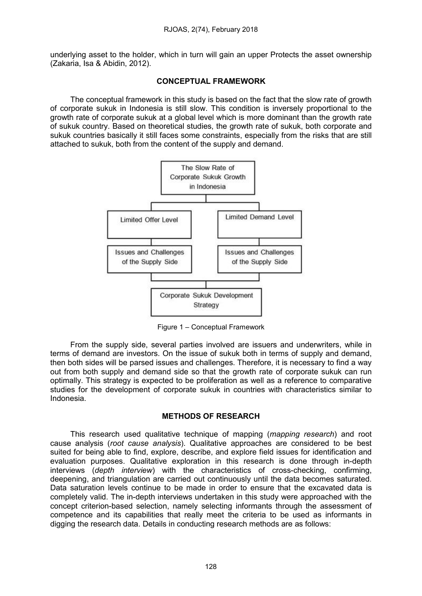underlying asset to the holder, which in turn will gain an upper Protects the asset ownership (Zakaria, Isa & Abidin, 2012).

#### CONCEPTUAL FRAMEWORK

The conceptual framework in this study is based on the fact that the slow rate of growth of corporate sukuk in Indonesia is still slow. This condition is inversely proportional to the growth rate of corporate sukuk at a global level which is more dominant than the growth rate of sukuk country. Based on theoretical studies, the growth rate of sukuk, both corporate and sukuk countries basically it still faces some constraints, especially from the risks that are still attached to sukuk, both from the content of the supply and demand.



Figure 1 – Conceptual Framework

From the supply side, several parties involved are issuers and underwriters, while in terms of demand are investors. On the issue of sukuk both in terms of supply and demand, then both sides will be parsed issues and challenges. Therefore, it is necessary to find a way out from both supply and demand side so that the growth rate of corporate sukuk can run optimally. This strategy is expected to be proliferation as well as a reference to comparative studies for the development of corporate sukuk in countries with characteristics similar to Indonesia.

## METHODS OF RESEARCH

This research used qualitative technique of mapping (*mapping research*) and root cause analysis (root cause analysis). Qualitative approaches are considered to be best suited for being able to find, explore, describe, and explore field issues for identification and evaluation purposes. Qualitative exploration in this research is done through in-depth interviews (depth interview) with the characteristics of cross-checking, confirming, deepening, and triangulation are carried out continuously until the data becomes saturated. Data saturation levels continue to be made in order to ensure that the excavated data is completely valid. The in-depth interviews undertaken in this study were approached with the concept criterion-based selection, namely selecting informants through the assessment of competence and its capabilities that really meet the criteria to be used as informants in digging the research data. Details in conducting research methods are as follows: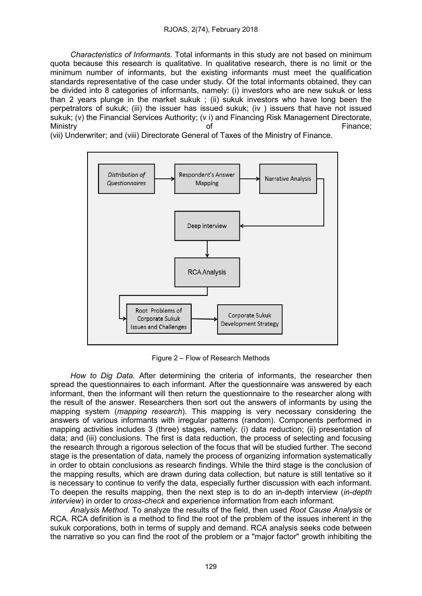Characteristics of Informants. Total informants in this study are not based on minimum quota because this research is qualitative. In qualitative research, there is no limit or the minimum number of informants, but the existing informants must meet the qualification standards representative of the case under study. Of the total informants obtained, they can be divided into 8 categories of informants, namely: (i) investors who are new sukuk or less than 2 years plunge in the market sukuk ; (ii) sukuk investors who have long been the perpetrators of sukuk; (iii) the issuer has issued sukuk; (iv ) issuers that have not issued sukuk; (v) the Financial Services Authority; (v i) and Financing Risk Management Directorate, Ministry **Example 2** of Contract Contract Contract Contract Contract Contract Contract Contract Contract Contract Contract Contract Contract Contract Contract Contract Contract Contract Contract Contract Contract Contract

(vii) Underwriter; and (viii) Directorate General of Taxes of the Ministry of Finance.



Figure 2 – Flow of Research Methods

How to Dig Data. After determining the criteria of informants, the researcher then spread the questionnaires to each informant. After the questionnaire was answered by each informant, then the informant will then return the questionnaire to the researcher along with the result of the answer. Researchers then sort out the answers of informants by using the mapping system (*mapping research*). This mapping is very necessary considering the answers of various informants with irregular patterns (random). Components performed in mapping activities includes 3 (three) stages, namely: (i) data reduction; (ii) presentation of data; and (iii) conclusions. The first is data reduction, the process of selecting and focusing the research through a rigorous selection of the focus that will be studied further. The second stage is the presentation of data, namely the process of organizing information systematically in order to obtain conclusions as research findings. While the third stage is the conclusion of the mapping results, which are drawn during data collection, but nature is still tentative so it is necessary to continue to verify the data, especially further discussion with each informant. To deepen the results mapping, then the next step is to do an in-depth interview (in-depth interview) in order to *cross-check* and experience information from each informant.

Analysis Method. To analyze the results of the field, then used Root Cause Analysis or RCA. RCA definition is a method to find the root of the problem of the issues inherent in the sukuk corporations, both in terms of supply and demand. RCA analysis seeks code between the narrative so you can find the root of the problem or a "major factor" growth inhibiting the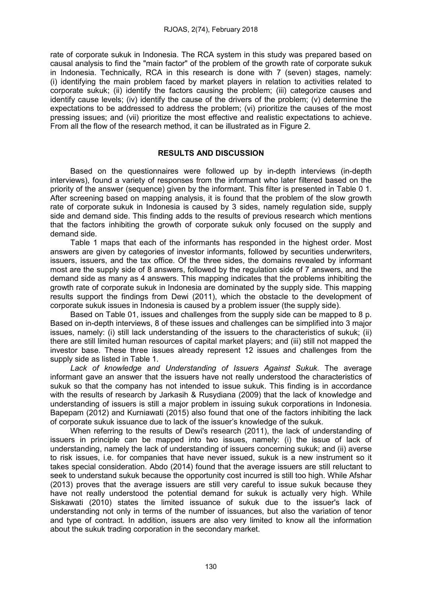rate of corporate sukuk in Indonesia. The RCA system in this study was prepared based on causal analysis to find the "main factor" of the problem of the growth rate of corporate sukuk in Indonesia. Technically, RCA in this research is done with 7 (seven) stages, namely: (i) identifying the main problem faced by market players in relation to activities related to corporate sukuk; (ii) identify the factors causing the problem; (iii) categorize causes and identify cause levels; (iv) identify the cause of the drivers of the problem; (v) determine the expectations to be addressed to address the problem; (vi) prioritize the causes of the most pressing issues; and (vii) prioritize the most effective and realistic expectations to achieve. From all the flow of the research method, it can be illustrated as in Figure 2.

#### RESULTS AND DISCUSSION

Based on the questionnaires were followed up by in-depth interviews (in-depth interviews), found a variety of responses from the informant who later filtered based on the priority of the answer (sequence) given by the informant. This filter is presented in Table 0 1. After screening based on mapping analysis, it is found that the problem of the slow growth rate of corporate sukuk in Indonesia is caused by 3 sides, namely regulation side, supply side and demand side. This finding adds to the results of previous research which mentions that the factors inhibiting the growth of corporate sukuk only focused on the supply and demand side.

Table 1 maps that each of the informants has responded in the highest order. Most answers are given by categories of investor informants, followed by securities underwriters, issuers, issuers, and the tax office. Of the three sides, the domains revealed by informant most are the supply side of 8 answers, followed by the regulation side of 7 answers, and the demand side as many as 4 answers. This mapping indicates that the problems inhibiting the growth rate of corporate sukuk in Indonesia are dominated by the supply side. This mapping results support the findings from Dewi (2011), which the obstacle to the development of corporate sukuk issues in Indonesia is caused by a problem issuer (the supply side).

Based on Table 01, issues and challenges from the supply side can be mapped to 8 p. Based on in-depth interviews, 8 of these issues and challenges can be simplified into 3 major issues, namely: (i) still lack understanding of the issuers to the characteristics of sukuk; (ii) there are still limited human resources of capital market players; and (iii) still not mapped the investor base. These three issues already represent 12 issues and challenges from the supply side as listed in Table 1.

Lack of knowledge and Understanding of Issuers Against Sukuk. The average informant gave an answer that the issuers have not really understood the characteristics of sukuk so that the company has not intended to issue sukuk. This finding is in accordance with the results of research by Jarkasih & Rusydiana (2009) that the lack of knowledge and understanding of issuers is still a major problem in issuing sukuk corporations in Indonesia. Bapepam (2012) and Kurniawati (2015) also found that one of the factors inhibiting the lack of corporate sukuk issuance due to lack of the issuer's knowledge of the sukuk.

When referring to the results of Dewi's research (2011), the lack of understanding of issuers in principle can be mapped into two issues, namely: (i) the issue of lack of understanding, namely the lack of understanding of issuers concerning sukuk; and (ii) averse to risk issues, i.e. for companies that have never issued, sukuk is a new instrument so it takes special consideration. Abdo (2014) found that the average issuers are still reluctant to seek to understand sukuk because the opportunity cost incurred is still too high. While Afshar (2013) proves that the average issuers are still very careful to issue sukuk because they have not really understood the potential demand for sukuk is actually very high. While Siskawati (2010) states the limited issuance of sukuk due to the issuer's lack of understanding not only in terms of the number of issuances, but also the variation of tenor and type of contract. In addition, issuers are also very limited to know all the information about the sukuk trading corporation in the secondary market.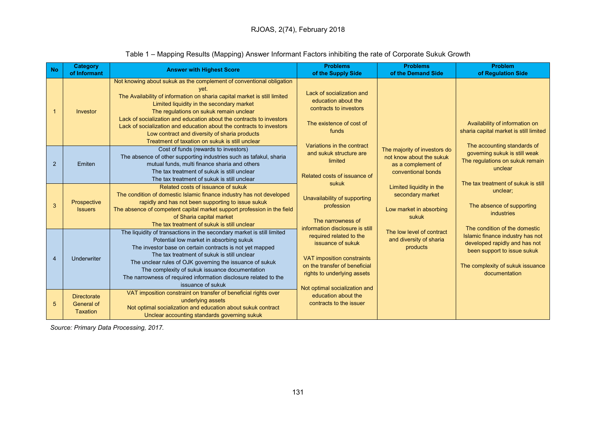| <b>No</b>      | <b>Category</b><br>of Informant              | <b>Answer with Highest Score</b>                                                                                                                                                                                                                                                                                                                                                                                                                                                                      | <b>Problems</b>                                                                                                                                                             | <b>Problems</b>                                                                                                                                                                                                                                              | <b>Problem</b>                                                                                                                                                                                                                            |
|----------------|----------------------------------------------|-------------------------------------------------------------------------------------------------------------------------------------------------------------------------------------------------------------------------------------------------------------------------------------------------------------------------------------------------------------------------------------------------------------------------------------------------------------------------------------------------------|-----------------------------------------------------------------------------------------------------------------------------------------------------------------------------|--------------------------------------------------------------------------------------------------------------------------------------------------------------------------------------------------------------------------------------------------------------|-------------------------------------------------------------------------------------------------------------------------------------------------------------------------------------------------------------------------------------------|
|                |                                              |                                                                                                                                                                                                                                                                                                                                                                                                                                                                                                       | of the Supply Side                                                                                                                                                          | of the Demand Side                                                                                                                                                                                                                                           | of Regulation Side                                                                                                                                                                                                                        |
|                | Investor                                     | Not knowing about sukuk as the complement of conventional obligation<br>vet.<br>The Availability of information on sharia capital market is still limited<br>Limited liquidity in the secondary market<br>The regulations on sukuk remain unclear<br>Lack of socialization and education about the contracts to investors<br>Lack of socialization and education about the contracts to investors<br>Low contract and diversity of sharia products<br>Treatment of taxation on sukuk is still unclear | Lack of socialization and<br>education about the<br>contracts to investors<br>The existence of cost of<br>funds<br>Variations in the contract                               |                                                                                                                                                                                                                                                              | Availability of information on<br>sharia capital market is still limited                                                                                                                                                                  |
| 2              | Emiten                                       | Cost of funds (rewards to investors)<br>The absence of other supporting industries such as tafakul, sharia<br>mutual funds, multi finance sharia and others<br>The tax treatment of sukuk is still unclear<br>The tax treatment of sukuk is still unclear                                                                                                                                                                                                                                             | and sukuk structure are<br>limited<br>Related costs of issuance of                                                                                                          | The majority of investors do<br>not know about the sukuk<br>as a complement of<br>conventional bonds<br>Limited liquidity in the<br>secondary market<br>Low market in absorbing<br>sukuk<br>The low level of contract<br>and diversity of sharia<br>products | The accounting standards of<br>governing sukuk is still weak<br>The regulations on sukuk remain<br>unclear<br>The tax treatment of sukuk is still<br>unclear;<br>The absence of supporting<br>industries<br>The condition of the domestic |
| 3              | Prospective<br><b>Issuers</b>                | Related costs of issuance of sukuk<br>The condition of domestic Islamic finance industry has not developed<br>rapidly and has not been supporting to issue sukuk<br>The absence of competent capital market support profession in the field<br>of Sharia capital market<br>The tax treatment of sukuk is still unclear                                                                                                                                                                                | sukuk<br>Unavailability of supporting<br>profession<br>The narrowness of<br>information disclosure is still                                                                 |                                                                                                                                                                                                                                                              |                                                                                                                                                                                                                                           |
| $\overline{4}$ | Underwriter                                  | The liquidity of transactions in the secondary market is still limited<br>Potential low market in absorbing sukuk<br>The investor base on certain contracts is not yet mapped<br>The tax treatment of sukuk is still unclear<br>The unclear rules of OJK governing the issuance of sukuk<br>The complexity of sukuk issuance documentation<br>The narrowness of required information disclosure related to the<br>issuance of sukuk                                                                   | required related to the<br>issuance of sukuk<br>VAT imposition constraints<br>on the transfer of beneficial<br>rights to underlying assets<br>Not optimal socialization and |                                                                                                                                                                                                                                                              | Islamic finance industry has not<br>developed rapidly and has not<br>been support to issue sukuk<br>The complexity of sukuk issuance<br>documentation                                                                                     |
| 5              | <b>Directorate</b><br>General of<br>Taxation | VAT imposition constraint on transfer of beneficial rights over<br>underlying assets<br>Not optimal socialization and education about sukuk contract<br>Unclear accounting standards governing sukuk                                                                                                                                                                                                                                                                                                  | education about the<br>contracts to the issuer                                                                                                                              |                                                                                                                                                                                                                                                              |                                                                                                                                                                                                                                           |

# Table 1 – Mapping Results (Mapping) Answer Informant Factors inhibiting the rate of Corporate Sukuk Growth

Source: Primary Data Processing, 2017.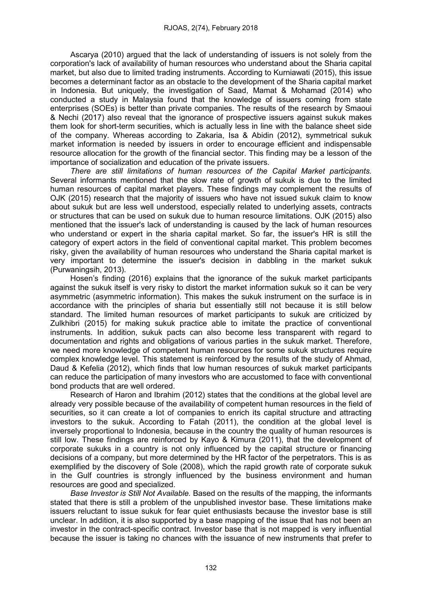Ascarya (2010) argued that the lack of understanding of issuers is not solely from the corporation's lack of availability of human resources who understand about the Sharia capital market, but also due to limited trading instruments. According to Kurniawati (2015), this issue becomes a determinant factor as an obstacle to the development of the Sharia capital market in Indonesia. But uniquely, the investigation of Saad, Mamat & Mohamad (2014) who conducted a study in Malaysia found that the knowledge of issuers coming from state enterprises (SOEs) is better than private companies. The results of the research by Smaoui & Nechi (2017) also reveal that the ignorance of prospective issuers against sukuk makes them look for short-term securities, which is actually less in line with the balance sheet side of the company. Whereas according to Zakaria, Isa & Abidin (2012), symmetrical sukuk market information is needed by issuers in order to encourage efficient and indispensable resource allocation for the growth of the financial sector. This finding may be a lesson of the importance of socialization and education of the private issuers.

There are still limitations of human resources of the Capital Market participants. Several informants mentioned that the slow rate of growth of sukuk is due to the limited human resources of capital market players. These findings may complement the results of OJK (2015) research that the majority of issuers who have not issued sukuk claim to know about sukuk but are less well understood, especially related to underlying assets, contracts or structures that can be used on sukuk due to human resource limitations. OJK (2015) also mentioned that the issuer's lack of understanding is caused by the lack of human resources who understand or expert in the sharia capital market. So far, the issuer's HR is still the category of expert actors in the field of conventional capital market. This problem becomes risky, given the availability of human resources who understand the Sharia capital market is very important to determine the issuer's decision in dabbling in the market sukuk (Purwaningsih, 2013).

Hosen's finding (2016) explains that the ignorance of the sukuk market participants against the sukuk itself is very risky to distort the market information sukuk so it can be very asymmetric (asymmetric information). This makes the sukuk instrument on the surface is in accordance with the principles of sharia but essentially still not because it is still below standard. The limited human resources of market participants to sukuk are criticized by Zulkhibri (2015) for making sukuk practice able to imitate the practice of conventional instruments. In addition, sukuk pacts can also become less transparent with regard to documentation and rights and obligations of various parties in the sukuk market. Therefore, we need more knowledge of competent human resources for some sukuk structures require complex knowledge level. This statement is reinforced by the results of the study of Ahmad, Daud & Kefelia (2012), which finds that low human resources of sukuk market participants can reduce the participation of many investors who are accustomed to face with conventional bond products that are well ordered.

Research of Haron and Ibrahim (2012) states that the conditions at the global level are already very possible because of the availability of competent human resources in the field of securities, so it can create a lot of companies to enrich its capital structure and attracting investors to the sukuk. According to Fatah (2011), the condition at the global level is inversely proportional to Indonesia, because in the country the quality of human resources is still low. These findings are reinforced by Kayo & Kimura (2011), that the development of corporate sukuks in a country is not only influenced by the capital structure or financing decisions of a company, but more determined by the HR factor of the perpetrators. This is as exemplified by the discovery of Sole (2008), which the rapid growth rate of corporate sukuk in the Gulf countries is strongly influenced by the business environment and human resources are good and specialized.

Base Investor is Still Not Available. Based on the results of the mapping, the informants stated that there is still a problem of the unpublished investor base. These limitations make issuers reluctant to issue sukuk for fear quiet enthusiasts because the investor base is still unclear. In addition, it is also supported by a base mapping of the issue that has not been an investor in the contract-specific contract. Investor base that is not mapped is very influential because the issuer is taking no chances with the issuance of new instruments that prefer to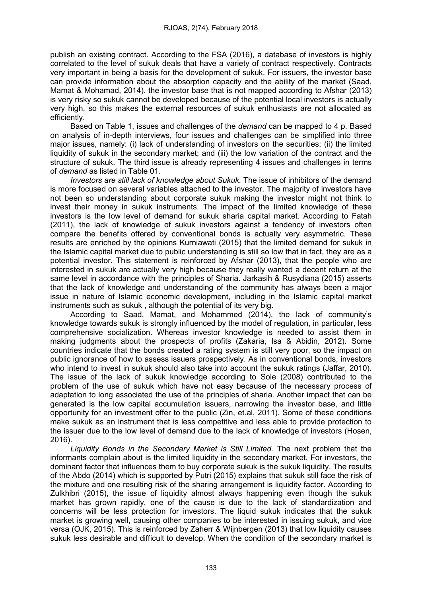publish an existing contract. According to the FSA (2016), a database of investors is highly correlated to the level of sukuk deals that have a variety of contract respectively. Contracts very important in being a basis for the development of sukuk. For issuers, the investor base can provide information about the absorption capacity and the ability of the market (Saad, Mamat & Mohamad, 2014). the investor base that is not mapped according to Afshar (2013) is very risky so sukuk cannot be developed because of the potential local investors is actually very high, so this makes the external resources of sukuk enthusiasts are not allocated as efficiently.

Based on Table 1, issues and challenges of the demand can be mapped to 4 p. Based on analysis of in-depth interviews, four issues and challenges can be simplified into three major issues, namely: (i) lack of understanding of investors on the securities; (ii) the limited liquidity of sukuk in the secondary market; and (iii) the low variation of the contract and the structure of sukuk. The third issue is already representing 4 issues and challenges in terms of demand as listed in Table 01.

Investors are still lack of knowledge about Sukuk. The issue of inhibitors of the demand is more focused on several variables attached to the investor. The majority of investors have not been so understanding about corporate sukuk making the investor might not think to invest their money in sukuk instruments. The impact of the limited knowledge of these investors is the low level of demand for sukuk sharia capital market. According to Fatah (2011), the lack of knowledge of sukuk investors against a tendency of investors often compare the benefits offered by conventional bonds is actually very asymmetric. These results are enriched by the opinions Kurniawati (2015) that the limited demand for sukuk in the Islamic capital market due to public understanding is still so low that in fact, they are as a potential investor. This statement is reinforced by Afshar (2013), that the people who are interested in sukuk are actually very high because they really wanted a decent return at the same level in accordance with the principles of Sharia. Jarkasih & Rusydiana (2015) asserts that the lack of knowledge and understanding of the community has always been a major issue in nature of Islamic economic development, including in the Islamic capital market instruments such as sukuk , although the potential of its very big.

According to Saad, Mamat, and Mohammed (2014), the lack of community's knowledge towards sukuk is strongly influenced by the model of regulation, in particular, less comprehensive socialization. Whereas investor knowledge is needed to assist them in making judgments about the prospects of profits (Zakaria, Isa & Abidin, 2012). Some countries indicate that the bonds created a rating system is still very poor, so the impact on public ignorance of how to assess issuers prospectively. As in conventional bonds, investors who intend to invest in sukuk should also take into account the sukuk ratings (Jaffar, 2010). The issue of the lack of sukuk knowledge according to Sole (2008) contributed to the problem of the use of sukuk which have not easy because of the necessary process of adaptation to long associated the use of the principles of sharia. Another impact that can be generated is the low capital accumulation issuers, narrowing the investor base, and little opportunity for an investment offer to the public (Zin, et.al, 2011). Some of these conditions make sukuk as an instrument that is less competitive and less able to provide protection to the issuer due to the low level of demand due to the lack of knowledge of investors (Hosen, 2016).

Liquidity Bonds in the Secondary Market is Still Limited. The next problem that the informants complain about is the limited liquidity in the secondary market. For investors, the dominant factor that influences them to buy corporate sukuk is the sukuk liquidity. The results of the Abdo (2014) which is supported by Putri (2015) explains that sukuk still face the risk of the mixture and one resulting risk of the sharing arrangement is liquidity factor. According to Zulkhibri (2015), the issue of liquidity almost always happening even though the sukuk market has grown rapidly, one of the cause is due to the lack of standardization and concerns will be less protection for investors. The liquid sukuk indicates that the sukuk market is growing well, causing other companies to be interested in issuing sukuk, and vice versa (OJK, 2015). This is reinforced by Zaherr & Wijnbergen (2013) that low liquidity causes sukuk less desirable and difficult to develop. When the condition of the secondary market is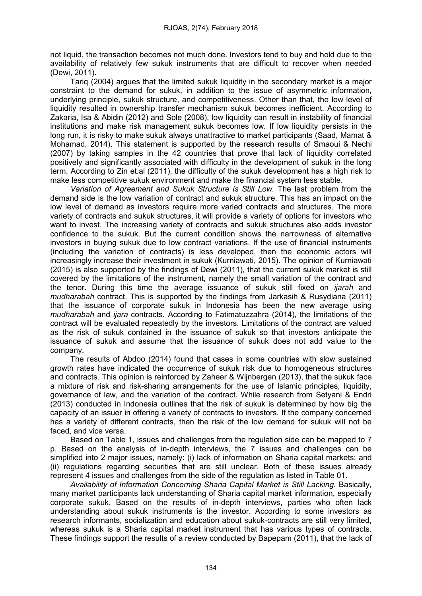not liquid, the transaction becomes not much done. Investors tend to buy and hold due to the availability of relatively few sukuk instruments that are difficult to recover when needed (Dewi, 2011).

Tariq (2004) argues that the limited sukuk liquidity in the secondary market is a major constraint to the demand for sukuk, in addition to the issue of asymmetric information, underlying principle, sukuk structure, and competitiveness. Other than that, the low level of liquidity resulted in ownership transfer mechanism sukuk becomes inefficient. According to Zakaria, Isa & Abidin (2012) and Sole (2008), low liquidity can result in instability of financial institutions and make risk management sukuk becomes low. If low liquidity persists in the long run, it is risky to make sukuk always unattractive to market participants (Saad, Mamat & Mohamad, 2014). This statement is supported by the research results of Smaoui & Nechi (2007) by taking samples in the 42 countries that prove that lack of liquidity correlated positively and significantly associated with difficulty in the development of sukuk in the long term. According to Zin et.al (2011), the difficulty of the sukuk development has a high risk to make less competitive sukuk environment and make the financial system less stable.

Variation of Agreement and Sukuk Structure is Still Low. The last problem from the demand side is the low variation of contract and sukuk structure. This has an impact on the low level of demand as investors require more varied contracts and structures. The more variety of contracts and sukuk structures, it will provide a variety of options for investors who want to invest. The increasing variety of contracts and sukuk structures also adds investor confidence to the sukuk. But the current condition shows the narrowness of alternative investors in buying sukuk due to low contract variations. If the use of financial instruments (including the variation of contracts) is less developed, then the economic actors will increasingly increase their investment in sukuk (Kurniawati, 2015). The opinion of Kurniawati (2015) is also supported by the findings of Dewi (2011), that the current sukuk market is still covered by the limitations of the instrument, namely the small variation of the contract and the tenor. During this time the average issuance of sukuk still fixed on *ijarah* and mudharabah contract. This is supported by the findings from Jarkasih & Rusydiana (2011) that the issuance of corporate sukuk in Indonesia has been the new average using mudharabah and ijara contracts. According to Fatimatuzzahra (2014), the limitations of the contract will be evaluated repeatedly by the investors. Limitations of the contract are valued as the risk of sukuk contained in the issuance of sukuk so that investors anticipate the issuance of sukuk and assume that the issuance of sukuk does not add value to the company.

The results of Abdoo (2014) found that cases in some countries with slow sustained growth rates have indicated the occurrence of sukuk risk due to homogeneous structures and contracts. This opinion is reinforced by Zaheer & Wijnbergen (2013), that the sukuk face a mixture of risk and risk-sharing arrangements for the use of Islamic principles, liquidity, governance of law, and the variation of the contract. While research from Setyani & Endri (2013) conducted in Indonesia outlines that the risk of sukuk is determined by how big the capacity of an issuer in offering a variety of contracts to investors. If the company concerned has a variety of different contracts, then the risk of the low demand for sukuk will not be faced, and vice versa.

Based on Table 1, issues and challenges from the regulation side can be mapped to 7 p. Based on the analysis of in-depth interviews, the 7 issues and challenges can be simplified into 2 major issues, namely: (i) lack of information on Sharia capital markets; and (ii) regulations regarding securities that are still unclear. Both of these issues already represent 4 issues and challenges from the side of the regulation as listed in Table 01.

Availability of Information Concerning Sharia Capital Market is Still Lacking. Basically, many market participants lack understanding of Sharia capital market information, especially corporate sukuk. Based on the results of in-depth interviews, parties who often lack understanding about sukuk instruments is the investor. According to some investors as research informants, socialization and education about sukuk-contracts are still very limited, whereas sukuk is a Sharia capital market instrument that has various types of contracts. These findings support the results of a review conducted by Bapepam (2011), that the lack of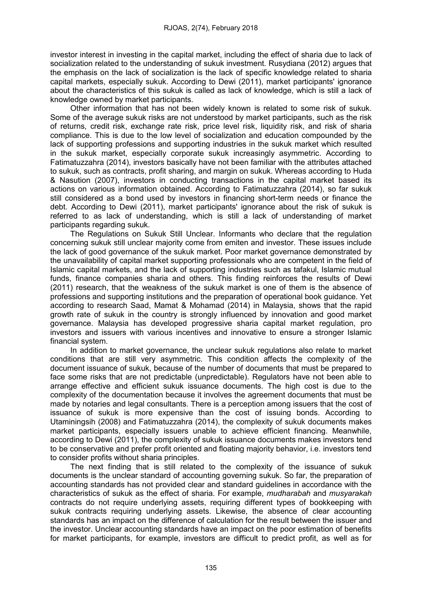investor interest in investing in the capital market, including the effect of sharia due to lack of socialization related to the understanding of sukuk investment. Rusydiana (2012) argues that the emphasis on the lack of socialization is the lack of specific knowledge related to sharia capital markets, especially sukuk. According to Dewi (2011), market participants' ignorance about the characteristics of this sukuk is called as lack of knowledge, which is still a lack of knowledge owned by market participants.

Other information that has not been widely known is related to some risk of sukuk. Some of the average sukuk risks are not understood by market participants, such as the risk of returns, credit risk, exchange rate risk, price level risk, liquidity risk, and risk of sharia compliance. This is due to the low level of socialization and education compounded by the lack of supporting professions and supporting industries in the sukuk market which resulted in the sukuk market, especially corporate sukuk increasingly asymmetric. According to Fatimatuzzahra (2014), investors basically have not been familiar with the attributes attached to sukuk, such as contracts, profit sharing, and margin on sukuk. Whereas according to Huda & Nasution (2007), investors in conducting transactions in the capital market based its actions on various information obtained. According to Fatimatuzzahra (2014), so far sukuk still considered as a bond used by investors in financing short-term needs or finance the debt. According to Dewi (2011), market participants' ignorance about the risk of sukuk is referred to as lack of understanding, which is still a lack of understanding of market participants regarding sukuk.

The Regulations on Sukuk Still Unclear. Informants who declare that the regulation concerning sukuk still unclear majority come from emiten and investor. These issues include the lack of good governance of the sukuk market. Poor market governance demonstrated by the unavailability of capital market supporting professionals who are competent in the field of Islamic capital markets, and the lack of supporting industries such as tafakul, Islamic mutual funds, finance companies sharia and others. This finding reinforces the results of Dewi (2011) research, that the weakness of the sukuk market is one of them is the absence of professions and supporting institutions and the preparation of operational book guidance. Yet according to research Saad, Mamat & Mohamad (2014) in Malaysia, shows that the rapid growth rate of sukuk in the country is strongly influenced by innovation and good market governance. Malaysia has developed progressive sharia capital market regulation, pro investors and issuers with various incentives and innovative to ensure a stronger Islamic financial system.

In addition to market governance, the unclear sukuk regulations also relate to market conditions that are still very asymmetric. This condition affects the complexity of the document issuance of sukuk, because of the number of documents that must be prepared to face some risks that are not predictable (unpredictable). Regulators have not been able to arrange effective and efficient sukuk issuance documents. The high cost is due to the complexity of the documentation because it involves the agreement documents that must be made by notaries and legal consultants. There is a perception among issuers that the cost of issuance of sukuk is more expensive than the cost of issuing bonds. According to Utaminingsih (2008) and Fatimatuzzahra (2014), the complexity of sukuk documents makes market participants, especially issuers unable to achieve efficient financing. Meanwhile, according to Dewi (2011), the complexity of sukuk issuance documents makes investors tend to be conservative and prefer profit oriented and floating majority behavior, i.e. investors tend to consider profits without sharia principles.

The next finding that is still related to the complexity of the issuance of sukuk documents is the unclear standard of accounting governing sukuk. So far, the preparation of accounting standards has not provided clear and standard guidelines in accordance with the characteristics of sukuk as the effect of sharia. For example, mudharabah and musyarakah contracts do not require underlying assets, requiring different types of bookkeeping with sukuk contracts requiring underlying assets. Likewise, the absence of clear accounting standards has an impact on the difference of calculation for the result between the issuer and the investor. Unclear accounting standards have an impact on the poor estimation of benefits for market participants, for example, investors are difficult to predict profit, as well as for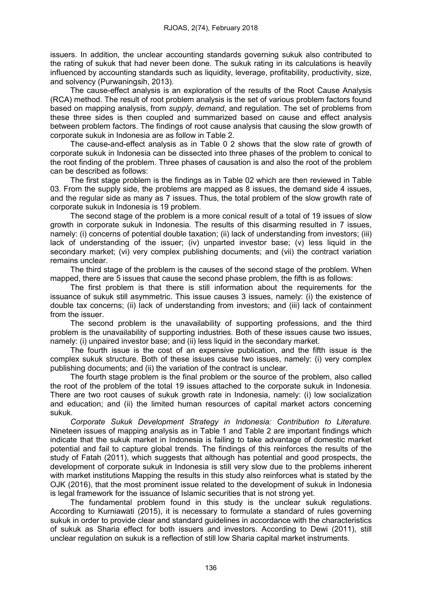issuers. In addition, the unclear accounting standards governing sukuk also contributed to the rating of sukuk that had never been done. The sukuk rating in its calculations is heavily influenced by accounting standards such as liquidity, leverage, profitability, productivity, size, and solvency (Purwaningsih, 2013).

The cause-effect analysis is an exploration of the results of the Root Cause Analysis (RCA) method. The result of root problem analysis is the set of various problem factors found based on mapping analysis, from supply, demand, and regulation. The set of problems from these three sides is then coupled and summarized based on cause and effect analysis between problem factors. The findings of root cause analysis that causing the slow growth of corporate sukuk in Indonesia are as follow in Table 2.

The cause-and-effect analysis as in Table 0 2 shows that the slow rate of growth of corporate sukuk in Indonesia can be dissected into three phases of the problem to conical to the root finding of the problem. Three phases of causation is and also the root of the problem can be described as follows:

The first stage problem is the findings as in Table 02 which are then reviewed in Table 03. From the supply side, the problems are mapped as 8 issues, the demand side 4 issues, and the regular side as many as 7 issues. Thus, the total problem of the slow growth rate of corporate sukuk in Indonesia is 19 problem.

The second stage of the problem is a more conical result of a total of 19 issues of slow growth in corporate sukuk in Indonesia. The results of this disarming resulted in 7 issues, namely: (i) concerns of potential double taxation; (ii) lack of understanding from investors; (iii) lack of understanding of the issuer; (iv) unparted investor base; (v) less liquid in the secondary market; (vi) very complex publishing documents; and (vii) the contract variation remains unclear.

The third stage of the problem is the causes of the second stage of the problem. When mapped, there are 5 issues that cause the second phase problem, the fifth is as follows:

The first problem is that there is still information about the requirements for the issuance of sukuk still asymmetric. This issue causes 3 issues, namely: (i) the existence of double tax concerns; (ii) lack of understanding from investors; and (iii) lack of containment from the issuer.

The second problem is the unavailability of supporting professions, and the third problem is the unavailability of supporting industries. Both of these issues cause two issues, namely: (i) unpaired investor base; and (ii) less liquid in the secondary market.

The fourth issue is the cost of an expensive publication, and the fifth issue is the complex sukuk structure. Both of these issues cause two issues, namely: (i) very complex publishing documents; and (ii) the variation of the contract is unclear.

The fourth stage problem is the final problem or the source of the problem, also called the root of the problem of the total 19 issues attached to the corporate sukuk in Indonesia. There are two root causes of sukuk growth rate in Indonesia, namely: (i) low socialization and education; and (ii) the limited human resources of capital market actors concerning sukuk.

Corporate Sukuk Development Strategy in Indonesia: Contribution to Literature. Nineteen issues of mapping analysis as in Table 1 and Table 2 are important findings which indicate that the sukuk market in Indonesia is failing to take advantage of domestic market potential and fail to capture global trends. The findings of this reinforces the results of the study of Fatah (2011), which suggests that although has potential and good prospects, the development of corporate sukuk in Indonesia is still very slow due to the problems inherent with market institutions Mapping the results in this study also reinforces what is stated by the OJK (2016), that the most prominent issue related to the development of sukuk in Indonesia is legal framework for the issuance of Islamic securities that is not strong yet.

The fundamental problem found in this study is the unclear sukuk regulations. According to Kurniawati (2015), it is necessary to formulate a standard of rules governing sukuk in order to provide clear and standard guidelines in accordance with the characteristics of sukuk as Sharia effect for both issuers and investors. According to Dewi (2011), still unclear regulation on sukuk is a reflection of still low Sharia capital market instruments.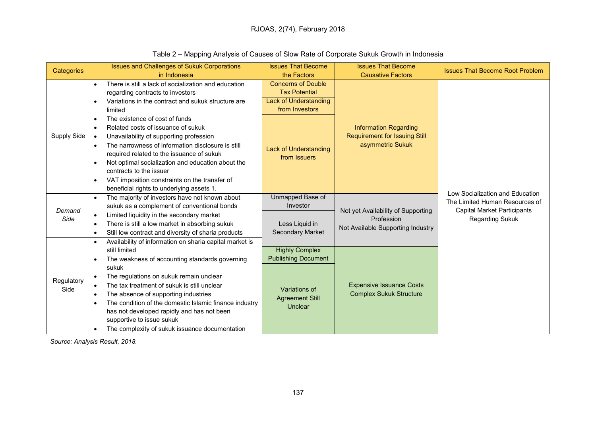| Categories         | <b>Issues and Challenges of Sukuk Corporations</b> |                                                                                                      | <b>Issues That Become</b>                          | <b>Issues That Become</b>                                                                | <b>Issues That Become Root Problem</b>                                                                                            |
|--------------------|----------------------------------------------------|------------------------------------------------------------------------------------------------------|----------------------------------------------------|------------------------------------------------------------------------------------------|-----------------------------------------------------------------------------------------------------------------------------------|
|                    |                                                    | in Indonesia                                                                                         | the Factors                                        | <b>Causative Factors</b>                                                                 |                                                                                                                                   |
|                    | $\bullet$                                          | There is still a lack of socialization and education                                                 | <b>Concerns of Double</b>                          |                                                                                          | Low Socialization and Education<br>The Limited Human Resources of<br><b>Capital Market Participants</b><br><b>Regarding Sukuk</b> |
|                    |                                                    | regarding contracts to investors                                                                     | <b>Tax Potential</b>                               | <b>Information Regarding</b><br><b>Requirement for Issuing Still</b><br>asymmetric Sukuk |                                                                                                                                   |
|                    | $\bullet$<br>$\bullet$                             | Variations in the contract and sukuk structure are                                                   | Lack of Understanding                              |                                                                                          |                                                                                                                                   |
|                    |                                                    | limited                                                                                              | from Investors                                     |                                                                                          |                                                                                                                                   |
|                    |                                                    | The existence of cost of funds                                                                       |                                                    |                                                                                          |                                                                                                                                   |
|                    | $\bullet$                                          | Related costs of issuance of sukuk                                                                   |                                                    |                                                                                          |                                                                                                                                   |
| <b>Supply Side</b> | $\bullet$                                          | Unavailability of supporting profession                                                              | <b>Lack of Understanding</b>                       |                                                                                          |                                                                                                                                   |
|                    | $\bullet$<br>$\bullet$                             | The narrowness of information disclosure is still                                                    |                                                    |                                                                                          |                                                                                                                                   |
|                    |                                                    | required related to the issuance of sukuk                                                            | from Issuers                                       |                                                                                          |                                                                                                                                   |
|                    |                                                    | Not optimal socialization and education about the                                                    |                                                    |                                                                                          |                                                                                                                                   |
|                    |                                                    | contracts to the issuer                                                                              |                                                    |                                                                                          |                                                                                                                                   |
|                    | $\bullet$                                          | VAT imposition constraints on the transfer of                                                        |                                                    |                                                                                          |                                                                                                                                   |
|                    |                                                    | beneficial rights to underlying assets 1.                                                            |                                                    |                                                                                          |                                                                                                                                   |
|                    | $\bullet$                                          | The majority of investors have not known about                                                       | Unmapped Base of                                   | Not yet Availability of Supporting<br>Profession<br>Not Available Supporting Industry    |                                                                                                                                   |
| Demand             |                                                    | sukuk as a complement of conventional bonds                                                          | Investor                                           |                                                                                          |                                                                                                                                   |
| Side               | $\bullet$                                          | Limited liquidity in the secondary market                                                            |                                                    |                                                                                          |                                                                                                                                   |
|                    | $\bullet$                                          | There is still a low market in absorbing sukuk                                                       | Less Liquid in                                     |                                                                                          |                                                                                                                                   |
|                    | $\bullet$                                          | Still low contract and diversity of sharia products                                                  | <b>Secondary Market</b>                            |                                                                                          |                                                                                                                                   |
|                    | $\bullet$                                          | Availability of information on sharia capital market is                                              |                                                    |                                                                                          |                                                                                                                                   |
|                    |                                                    | still limited                                                                                        | <b>Highly Complex</b>                              | <b>Expensive Issuance Costs</b><br><b>Complex Sukuk Structure</b>                        |                                                                                                                                   |
|                    | $\bullet$                                          | The weakness of accounting standards governing                                                       | <b>Publishing Document</b>                         |                                                                                          |                                                                                                                                   |
|                    |                                                    | sukuk                                                                                                |                                                    |                                                                                          |                                                                                                                                   |
| Regulatory         | $\bullet$                                          | The regulations on sukuk remain unclear                                                              |                                                    |                                                                                          |                                                                                                                                   |
| Side               | $\bullet$                                          | The tax treatment of sukuk is still unclear                                                          | Variations of<br><b>Agreement Still</b><br>Unclear |                                                                                          |                                                                                                                                   |
|                    | $\bullet$                                          | The absence of supporting industries                                                                 |                                                    |                                                                                          |                                                                                                                                   |
|                    | $\bullet$                                          | The condition of the domestic Islamic finance industry<br>has not developed rapidly and has not been |                                                    |                                                                                          |                                                                                                                                   |
|                    |                                                    | supportive to issue sukuk                                                                            |                                                    |                                                                                          |                                                                                                                                   |
|                    | $\bullet$                                          | The complexity of sukuk issuance documentation                                                       |                                                    |                                                                                          |                                                                                                                                   |
|                    |                                                    |                                                                                                      |                                                    |                                                                                          |                                                                                                                                   |

# Table 2 – Mapping Analysis of Causes of Slow Rate of Corporate Sukuk Growth in Indonesia

Source: Analysis Result, 2018.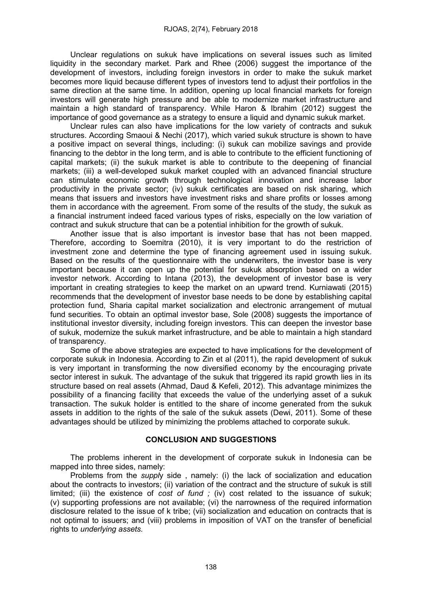Unclear regulations on sukuk have implications on several issues such as limited liquidity in the secondary market. Park and Rhee (2006) suggest the importance of the development of investors, including foreign investors in order to make the sukuk market becomes more liquid because different types of investors tend to adjust their portfolios in the same direction at the same time. In addition, opening up local financial markets for foreign investors will generate high pressure and be able to modernize market infrastructure and maintain a high standard of transparency. While Haron & Ibrahim (2012) suggest the importance of good governance as a strategy to ensure a liquid and dynamic sukuk market.

Unclear rules can also have implications for the low variety of contracts and sukuk structures. According Smaoui & Nechi (2017), which varied sukuk structure is shown to have a positive impact on several things, including: (i) sukuk can mobilize savings and provide financing to the debtor in the long term, and is able to contribute to the efficient functioning of capital markets; (ii) the sukuk market is able to contribute to the deepening of financial markets; (iii) a well-developed sukuk market coupled with an advanced financial structure can stimulate economic growth through technological innovation and increase labor productivity in the private sector; (iv) sukuk certificates are based on risk sharing, which means that issuers and investors have investment risks and share profits or losses among them in accordance with the agreement. From some of the results of the study, the sukuk as a financial instrument indeed faced various types of risks, especially on the low variation of contract and sukuk structure that can be a potential inhibition for the growth of sukuk.

Another issue that is also important is investor base that has not been mapped. Therefore, according to Soemitra (2010), it is very important to do the restriction of investment zone and determine the type of financing agreement used in issuing sukuk. Based on the results of the questionnaire with the underwriters, the investor base is very important because it can open up the potential for sukuk absorption based on a wider investor network. According to Intana (2013), the development of investor base is very important in creating strategies to keep the market on an upward trend. Kurniawati (2015) recommends that the development of investor base needs to be done by establishing capital protection fund, Sharia capital market socialization and electronic arrangement of mutual fund securities. To obtain an optimal investor base, Sole (2008) suggests the importance of institutional investor diversity, including foreign investors. This can deepen the investor base of sukuk, modernize the sukuk market infrastructure, and be able to maintain a high standard of transparency.

Some of the above strategies are expected to have implications for the development of corporate sukuk in Indonesia. According to Zin et al (2011), the rapid development of sukuk is very important in transforming the now diversified economy by the encouraging private sector interest in sukuk. The advantage of the sukuk that triggered its rapid growth lies in its structure based on real assets (Ahmad, Daud & Kefeli, 2012). This advantage minimizes the possibility of a financing facility that exceeds the value of the underlying asset of a sukuk transaction. The sukuk holder is entitled to the share of income generated from the sukuk assets in addition to the rights of the sale of the sukuk assets (Dewi, 2011). Some of these advantages should be utilized by minimizing the problems attached to corporate sukuk.

#### CONCLUSION AND SUGGESTIONS

The problems inherent in the development of corporate sukuk in Indonesia can be mapped into three sides, namely:

Problems from the *supply* side, namely: (i) the lack of socialization and education about the contracts to investors; (ii) variation of the contract and the structure of sukuk is still limited; (iii) the existence of cost of fund  $:$  (iv) cost related to the issuance of sukuk; (v) supporting professions are not available; (vi) the narrowness of the required information disclosure related to the issue of k tribe; (vii) socialization and education on contracts that is not optimal to issuers; and (viii) problems in imposition of VAT on the transfer of beneficial rights to underlying assets.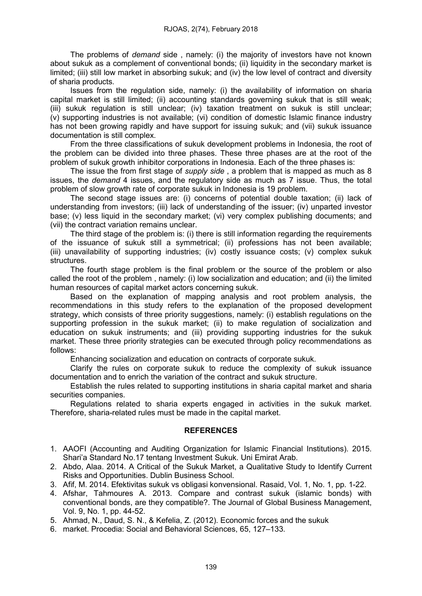The problems of demand side , namely: (i) the majority of investors have not known about sukuk as a complement of conventional bonds; (ii) liquidity in the secondary market is limited; (iii) still low market in absorbing sukuk; and (iv) the low level of contract and diversity of sharia products.

Issues from the regulation side, namely: (i) the availability of information on sharia capital market is still limited; (ii) accounting standards governing sukuk that is still weak; (iii) sukuk regulation is still unclear; (iv) taxation treatment on sukuk is still unclear; (v) supporting industries is not available; (vi) condition of domestic Islamic finance industry has not been growing rapidly and have support for issuing sukuk; and (vii) sukuk issuance documentation is still complex.

From the three classifications of sukuk development problems in Indonesia, the root of the problem can be divided into three phases. These three phases are at the root of the problem of sukuk growth inhibitor corporations in Indonesia. Each of the three phases is:

The issue the from first stage of *supply side*, a problem that is mapped as much as 8 issues, the demand 4 issues, and the regulatory side as much as 7 issue. Thus, the total problem of slow growth rate of corporate sukuk in Indonesia is 19 problem.

The second stage issues are: (i) concerns of potential double taxation; (ii) lack of understanding from investors; (iii) lack of understanding of the issuer; (iv) unparted investor base; (v) less liquid in the secondary market; (vi) very complex publishing documents; and (vii) the contract variation remains unclear.

The third stage of the problem is: (i) there is still information regarding the requirements of the issuance of sukuk still a symmetrical; (ii) professions has not been available; (iii) unavailability of supporting industries; (iv) costly issuance costs; (v) complex sukuk structures.

The fourth stage problem is the final problem or the source of the problem or also called the root of the problem , namely: (i) low socialization and education; and (ii) the limited human resources of capital market actors concerning sukuk.

Based on the explanation of mapping analysis and root problem analysis, the recommendations in this study refers to the explanation of the proposed development strategy, which consists of three priority suggestions, namely: (i) establish regulations on the supporting profession in the sukuk market; (ii) to make regulation of socialization and education on sukuk instruments; and (iii) providing supporting industries for the sukuk market. These three priority strategies can be executed through policy recommendations as follows:

Enhancing socialization and education on contracts of corporate sukuk.

Clarify the rules on corporate sukuk to reduce the complexity of sukuk issuance documentation and to enrich the variation of the contract and sukuk structure.

Establish the rules related to supporting institutions in sharia capital market and sharia securities companies.

Regulations related to sharia experts engaged in activities in the sukuk market. Therefore, sharia-related rules must be made in the capital market.

## REFERENCES

- 1. AAOFI (Accounting and Auditing Organization for Islamic Financial Institutions). 2015. Shari'a Standard No.17 tentang Investment Sukuk. Uni Emirat Arab.
- 2. Abdo, Alaa. 2014. A Critical of the Sukuk Market, a Qualitative Study to Identify Current Risks and Opportunities. Dublin Business School.
- 3. Afif, M. 2014. Efektivitas sukuk vs obligasi konvensional. Rasaid, Vol. 1, No. 1, pp. 1-22.
- 4. Afshar, Tahmoures A. 2013. Compare and contrast sukuk (islamic bonds) with conventional bonds, are they compatible?. The Journal of Global Business Management, Vol. 9, No. 1, pp. 44-52.
- 5. Ahmad, N., Daud, S. N., & Kefelia, Z. (2012). Economic forces and the sukuk
- 6. market. Procedia: Social and Behavioral Sciences, 65, 127–133.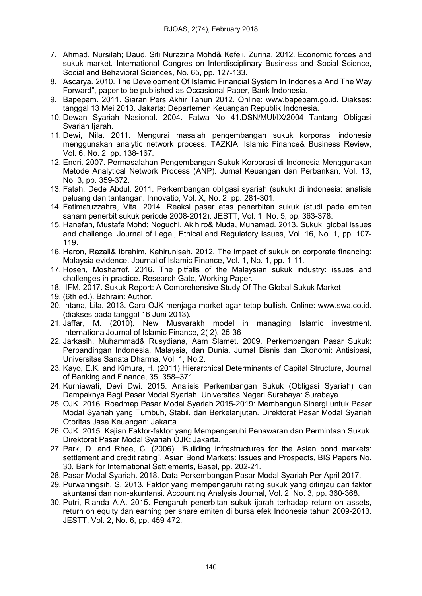- 7. Ahmad, Nursilah; Daud, Siti Nurazina Mohd& Kefeli, Zurina. 2012. Economic forces and sukuk market. International Congres on Interdisciplinary Business and Social Science, Social and Behavioral Sciences, No. 65, pp. 127-133.
- 8. Ascarya. 2010. The Development Of Islamic Financial System In Indonesia And The Way Forward", paper to be published as Occasional Paper, Bank Indonesia.
- 9. Bapepam. 2011. Siaran Pers Akhir Tahun 2012. Online: www.bapepam.go.id. Diakses: tanggal 13 Mei 2013. Jakarta: Departemen Keuangan Republik Indonesia.
- 10. Dewan Syariah Nasional. 2004. Fatwa No 41.DSN/MUI/IX/2004 Tantang Obligasi Syariah Ijarah.
- 11. Dewi, Nila. 2011. Mengurai masalah pengembangan sukuk korporasi indonesia menggunakan analytic network process. TAZKIA, Islamic Finance& Business Review, Vol. 6, No. 2, pp. 138-167.
- 12. Endri. 2007. Permasalahan Pengembangan Sukuk Korporasi di Indonesia Menggunakan Metode Analytical Network Process (ANP). Jurnal Keuangan dan Perbankan, Vol. 13, No. 3, pp. 359-372.
- 13. Fatah, Dede Abdul. 2011. Perkembangan obligasi syariah (sukuk) di indonesia: analisis peluang dan tantangan. Innovatio, Vol. X, No. 2, pp. 281-301.
- 14. Fatimatuzzahra, Vita. 2014. Reaksi pasar atas penerbitan sukuk (studi pada emiten saham penerbit sukuk periode 2008-2012). JESTT, Vol. 1, No. 5, pp. 363-378.
- 15. Hanefah, Mustafa Mohd; Noguchi, Akihiro& Muda, Muhamad. 2013. Sukuk: global issues and challenge. Journal of Legal, Ethical and Regulatory Issues, Vol. 16, No. 1, pp. 107- 119.
- 16. Haron, Razali& Ibrahim, Kahirunisah. 2012. The impact of sukuk on corporate financing: Malaysia evidence. Journal of Islamic Finance, Vol. 1, No. 1, pp. 1-11.
- 17. Hosen, Mosharrof. 2016. The pitfalls of the Malaysian sukuk industry: issues and challenges in practice. Research Gate, Working Paper.
- 18. IIFM. 2017. Sukuk Report: A Comprehensive Study Of The Global Sukuk Market
- 19. (6th ed.). Bahrain: Author.
- 20. Intana, Lila. 2013. Cara OJK menjaga market agar tetap bullish. Online: www.swa.co.id. (diakses pada tanggal 16 Juni 2013).
- 21. Jaffar, M. (2010). New Musyarakh model in managing Islamic investment. InternationalJournal of Islamic Finance, 2( 2), 25-36
- 22. Jarkasih, Muhammad& Rusydiana, Aam Slamet. 2009. Perkembangan Pasar Sukuk: Perbandingan Indonesia, Malaysia, dan Dunia. Jurnal Bisnis dan Ekonomi: Antisipasi, Universitas Sanata Dharma, Vol. 1, No.2.
- 23. Kayo, E.K. and Kimura, H. (2011) Hierarchical Determinants of Capital Structure, Journal of Banking and Finance, 35, 358–371.
- 24. Kurniawati, Devi Dwi. 2015. Analisis Perkembangan Sukuk (Obligasi Syariah) dan Dampaknya Bagi Pasar Modal Syariah. Universitas Negeri Surabaya: Surabaya.
- 25. OJK. 2016. Roadmap Pasar Modal Syariah 2015-2019: Membangun Sinergi untuk Pasar Modal Syariah yang Tumbuh, Stabil, dan Berkelanjutan. Direktorat Pasar Modal Syariah Otoritas Jasa Keuangan: Jakarta.
- 26. OJK. 2015. Kajian Faktor-faktor yang Mempengaruhi Penawaran dan Permintaan Sukuk. Direktorat Pasar Modal Syariah OJK: Jakarta.
- 27. Park, D. and Rhee, C. (2006), "Building infrastructures for the Asian bond markets: settlement and credit rating", Asian Bond Markets: Issues and Prospects, BIS Papers No. 30, Bank for International Settlements, Basel, pp. 202-21.
- 28. Pasar Modal Syariah. 2018. Data Perkembangan Pasar Modal Syariah Per April 2017.
- 29. Purwaningsih, S. 2013. Faktor yang mempengaruhi rating sukuk yang ditinjau dari faktor akuntansi dan non-akuntansi. Accounting Analysis Journal, Vol. 2, No. 3, pp. 360-368.
- 30. Putri, Rianda A.A. 2015. Pengaruh penerbitan sukuk ijarah terhadap return on assets, return on equity dan earning per share emiten di bursa efek Indonesia tahun 2009-2013. JESTT, Vol. 2, No. 6, pp. 459-472.